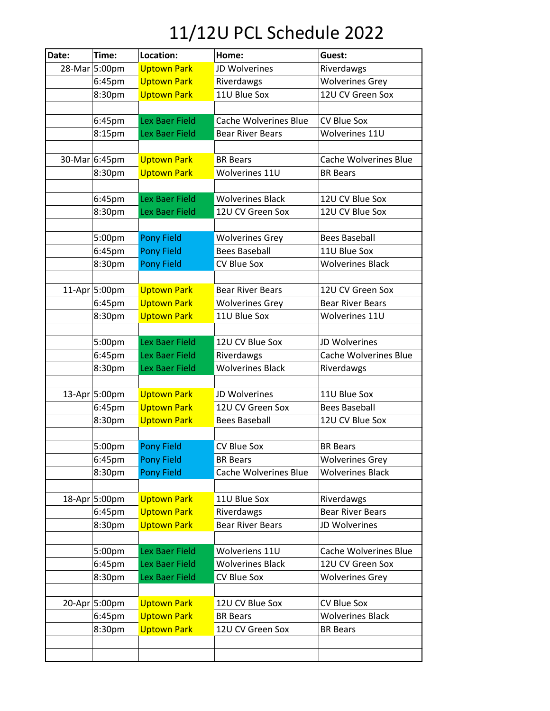## 11/12U PCL Schedule 2022

| Date: | Time:         | Location:             | Home:                                 | Guest:                       |
|-------|---------------|-----------------------|---------------------------------------|------------------------------|
|       | 28-Mar 5:00pm | <b>Uptown Park</b>    | JD Wolverines                         | Riverdawgs                   |
|       | 6:45pm        | <b>Uptown Park</b>    | Riverdawgs                            | <b>Wolverines Grey</b>       |
|       | 8:30pm        | <b>Uptown Park</b>    | 11U Blue Sox                          | 12U CV Green Sox             |
|       |               |                       |                                       |                              |
|       | 6:45pm        | <b>Lex Baer Field</b> | <b>Cache Wolverines Blue</b>          | <b>CV Blue Sox</b>           |
|       | 8:15pm        | Lex Baer Field        | <b>Bear River Bears</b>               | Wolverines 11U               |
|       |               |                       |                                       |                              |
|       | 30-Mar 6:45pm | <b>Uptown Park</b>    | <b>BR</b> Bears                       | <b>Cache Wolverines Blue</b> |
|       | 8:30pm        | <b>Uptown Park</b>    | Wolverines 11U                        | <b>BR</b> Bears              |
|       |               |                       |                                       |                              |
|       | 6:45pm        | <b>Lex Baer Field</b> | <b>Wolverines Black</b>               | 12U CV Blue Sox              |
|       | 8:30pm        | Lex Baer Field        | 12U CV Green Sox                      | 12U CV Blue Sox              |
|       |               |                       |                                       |                              |
|       | 5:00pm        | <b>Pony Field</b>     | <b>Wolverines Grey</b>                | <b>Bees Baseball</b>         |
|       | 6:45pm        | <b>Pony Field</b>     | <b>Bees Baseball</b>                  | 11U Blue Sox                 |
|       | 8:30pm        | <b>Pony Field</b>     | <b>CV Blue Sox</b>                    | <b>Wolverines Black</b>      |
|       |               |                       |                                       |                              |
|       | 11-Apr 5:00pm | <b>Uptown Park</b>    | <b>Bear River Bears</b>               | 12U CV Green Sox             |
|       | 6:45pm        | <b>Uptown Park</b>    | <b>Wolverines Grey</b>                | <b>Bear River Bears</b>      |
|       | 8:30pm        | <b>Uptown Park</b>    | 11U Blue Sox                          | Wolverines 11U               |
|       |               |                       |                                       |                              |
|       | 5:00pm        | Lex Baer Field        | 12U CV Blue Sox                       | JD Wolverines                |
|       | 6:45pm        | Lex Baer Field        | Riverdawgs<br><b>Wolverines Black</b> | <b>Cache Wolverines Blue</b> |
|       | 8:30pm        | Lex Baer Field        |                                       | Riverdawgs                   |
|       | 13-Apr 5:00pm | <b>Uptown Park</b>    | JD Wolverines                         | 11U Blue Sox                 |
|       | 6:45pm        | <b>Uptown Park</b>    | 12U CV Green Sox                      | <b>Bees Baseball</b>         |
|       | 8:30pm        | <b>Uptown Park</b>    | <b>Bees Baseball</b>                  | 12U CV Blue Sox              |
|       |               |                       |                                       |                              |
|       | 5:00pm        | <b>Pony Field</b>     | <b>CV Blue Sox</b>                    | <b>BR</b> Bears              |
|       | 6:45pm        | <b>Pony Field</b>     | <b>BR Bears</b>                       | <b>Wolverines Grey</b>       |
|       | 8:30pm        | <b>Pony Field</b>     | Cache Wolverines Blue                 | <b>Wolverines Black</b>      |
|       |               |                       |                                       |                              |
|       | 18-Apr 5:00pm | <b>Uptown Park</b>    | 11U Blue Sox                          | Riverdawgs                   |
|       | 6:45pm        | <b>Uptown Park</b>    | Riverdawgs                            | <b>Bear River Bears</b>      |
|       | 8:30pm        | <b>Uptown Park</b>    | <b>Bear River Bears</b>               | JD Wolverines                |
|       |               |                       |                                       |                              |
|       | 5:00pm        | Lex Baer Field        | Wolveriens 11U                        | <b>Cache Wolverines Blue</b> |
|       | 6:45pm        | Lex Baer Field        | <b>Wolverines Black</b>               | 12U CV Green Sox             |
|       | 8:30pm        | Lex Baer Field        | <b>CV Blue Sox</b>                    | <b>Wolverines Grey</b>       |
|       |               |                       |                                       |                              |
|       | 20-Apr 5:00pm | <b>Uptown Park</b>    | 12U CV Blue Sox                       | <b>CV Blue Sox</b>           |
|       | 6:45pm        | <b>Uptown Park</b>    | <b>BR Bears</b>                       | <b>Wolverines Black</b>      |
|       | 8:30pm        | <b>Uptown Park</b>    | 12U CV Green Sox                      | <b>BR</b> Bears              |
|       |               |                       |                                       |                              |
|       |               |                       |                                       |                              |